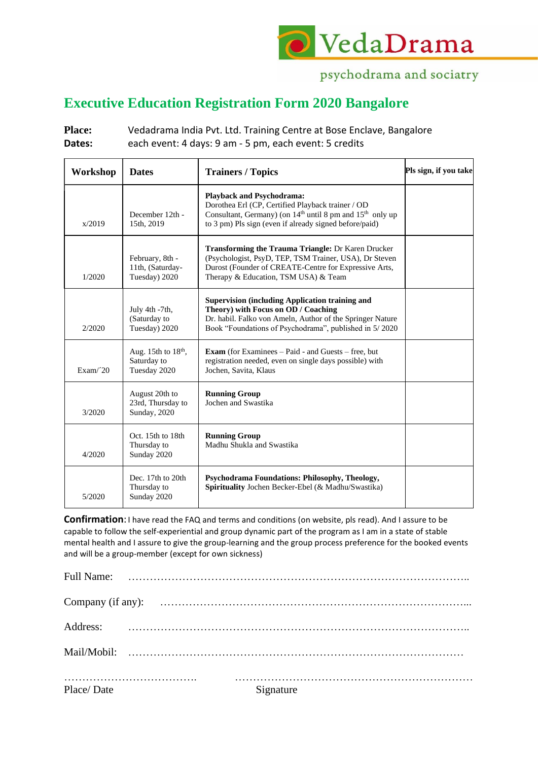

## psychodrama and sociatry

## **Executive Education Registration Form 2020 Bangalore**

Place: Vedadrama India Pvt. Ltd. Training Centre at Bose Enclave, Bangalore **Dates:** each event: 4 days: 9 am - 5 pm, each event: 5 credits

| Workshop | <b>Dates</b>                                                   | <b>Trainers / Topics</b>                                                                                                                                                                                                             | Pls sign, if you take |
|----------|----------------------------------------------------------------|--------------------------------------------------------------------------------------------------------------------------------------------------------------------------------------------------------------------------------------|-----------------------|
| x/2019   | December 12th -<br>15th, 2019                                  | <b>Playback and Psychodrama:</b><br>Dorothea Erl (CP, Certified Playback trainer / OD<br>Consultant, Germany) (on 14 <sup>th</sup> until 8 pm and 15 <sup>th</sup> only up<br>to 3 pm) Pls sign (even if already signed before/paid) |                       |
| 1/2020   | February, 8th -<br>11th, (Saturday-<br>Tuesday) 2020           | <b>Transforming the Trauma Triangle: Dr Karen Drucker</b><br>(Psychologist, PsyD, TEP, TSM Trainer, USA), Dr Steven<br>Durost (Founder of CREATE-Centre for Expressive Arts,<br>Therapy & Education, TSM USA) & Team                 |                       |
| 2/2020   | July 4th -7th,<br>(Saturday to<br>Tuesday) 2020                | <b>Supervision (including Application training and</b><br>Theory) with Focus on OD / Coaching<br>Dr. habil. Falko von Ameln, Author of the Springer Nature<br>Book "Foundations of Psychodrama", published in 5/2020                 |                       |
| Exam/20  | Aug. 15th to 18 <sup>th</sup> ,<br>Saturday to<br>Tuesday 2020 | <b>Exam</b> (for Examinees $-$ Paid - and Guests $-$ free, but<br>registration needed, even on single days possible) with<br>Jochen, Savita, Klaus                                                                                   |                       |
| 3/2020   | August 20th to<br>23rd, Thursday to<br>Sunday, 2020            | <b>Running Group</b><br>Jochen and Swastika                                                                                                                                                                                          |                       |
| 4/2020   | Oct. 15th to 18th<br>Thursday to<br>Sunday 2020                | <b>Running Group</b><br>Madhu Shukla and Swastika                                                                                                                                                                                    |                       |
| 5/2020   | Dec. 17th to 20th<br>Thursday to<br>Sunday 2020                | Psychodrama Foundations: Philosophy, Theology,<br>Spirituality Jochen Becker-Ebel (& Madhu/Swastika)                                                                                                                                 |                       |

**Confirmation**:I have read the FAQ and terms and conditions (on website, pls read). And I assure to be capable to follow the self-experiential and group dynamic part of the program as I am in a state of stable mental health and I assure to give the group-learning and the group process preference for the booked events and will be a group-member (except for own sickness)

| Place/Date | Signature |
|------------|-----------|
|            |           |
|            |           |
|            |           |
|            |           |